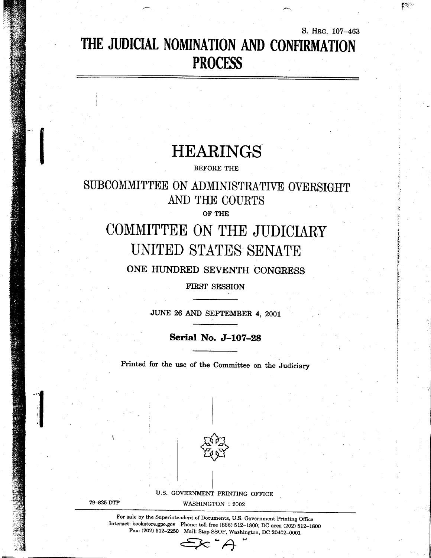## THE JUDICIAL NOMINATION AND CONFIRMATION **PROCESS**

VI.

S. HRG. 107-463

## **HEARINGS**

**BEFORE THE** 

### SUBCOMMITTEE ON ADMINISTRATIVE OVERSIGHT AND THE COURTS

OF THE

# COMMITTEE ON THE JUDICIARY UNITED STATES SENATE

ONE HUNDRED SEVENTH CONGRESS

FIRST SESSION

JUNE 26 AND SEPTEMBER 4, 2001

Serial No. J-107-28

Printed for the use of the Committee on the Judiciary



U.S. GOVERNMENT PRINTING OFFICE

79-825 DTP

WASHINGTON : 2002

For sale by the Superintendent of Documents, U.S. Government Printing Office Internet: bookstore.gpo.gov Phone: toll free (866) 512-1800; DC area (202) 512-1800 Fax: (202) 512-2250 Mail: Stop SSOP, Washington, DC 20402-0001

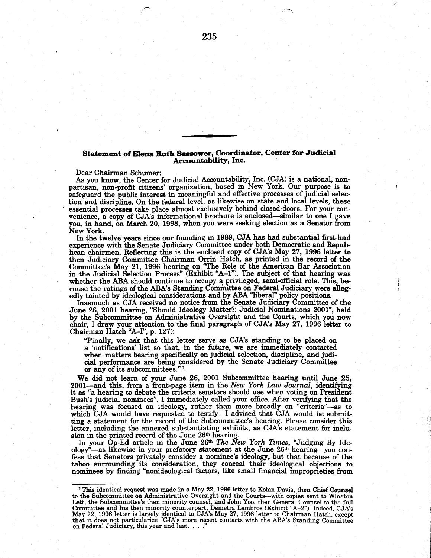#### Statement of Elena Ruth Sassower, Coordinator, Center for Judicial AccountabilitY, Inc.

Dear Chairman Schumer:

As you know, the Center for Judicial Accountability, Inc. (CJA) is a national, nonpartisan, non-profit citizens' organization, based in New York. Our purpose is to safeguard the public interest in meaningful and effective processes of judicial selection and discipline. On the federal level, as likewise on state and local levels, these essential processes take place almost exclusively behind closed-doors. For your convenience, a copy of CJA's informational brochure is enclosed-similar to one I gave you, in hand, on March 20, 1998, when you were seeking election as a Senator from New York.

In the twelve years since our founding in 1989, CJA has had substantial first-had experience with Senate Judiciary Comnittee under both Democratic and Repub. lican chairmen. Reflecting this is the enclosed copy of CJA's May 27, 1996 letter to then Judiciary Committee Chairman Orrin Hatch, as printed in the record of the Committee's May 21, 1996 hearing on "The Role of the American Bar Association in the Judicial Selection Process' (Exhibit 'A-1"). The subject of that hearing was whether the ABA should continue to occupy a privileged, semi-official role. This, because the ratings of the ABA's Standing Committee on Federal Judiciary were allegedly tainted by ideological considerations and by ABA "liberal" policy positions.

Inasmuch as CJA received no notice from the Senate Judiciary Committee of the June 26, 2001 hearing, "Should Ideologr Matter?: Judicial Nominations 2001', held by the Subcommittee on Administrative Oversight and the Courts, which you now chair, I draw your attention to the final paragraph of CJA"s May 27, 1996 letter to Chairman Hatch "A-I", p. 127):

"Finally, we ask that this letter serve as CJA's standing to be placed on a 'notifications' list so that, in the future, we are immediately contacted when matters bearing specifically on judicial selection, discipline, and judicial performance are being considered by the Senate Judiciary Committee<br>or any of its subcommittees." <sup>1</sup>

We did not learn of your June 26, 2001 Subcommittee hearing until June 25. 2001-and this, from a front-page item in the New York Law Journal, identifying it as "a hearing to debate the criteria senators should use when voting on President Bush's judicial nominees". I immediately called your office. After verifying that the hearing was focused on ideology, rather than more broadly on "criteria"-as to which  $CJA$  would have requested to testify--I advised that  $CJA$  would be submitting a statement for the record of the Subcommittee's hearing. Please consider this letter, including the annexed substantiating exhibits, as  $CJA^7s$  statement for inclusion in the printed record of the June 26th hearing.

In your Op-Ed article in the June 26<sup>th</sup> The New York Times, "Judging By Ideology<sup>5</sup>—as likewise in your prefatory statement at the June 26<sup>th</sup> hearing—you confess that Senators privately consider a nominee's ideology, but that because of the taboo surrounding its consideration, they conceal their ideological objections to nominees by finding "nonideological factors, like small financial improprieties from

235

<sup>&</sup>lt;sup>1</sup>This identical request was made in a May 22, 1996 letter to Kolan Davis, then Chief Counsel to the Subcommittee on Administrative Oversight and the Courts-with copies sent to Winston Lett, the Subcommittee's then minority counsel, and John Yoo, then General Counsel to the full<br>Committee and his then minority counterpart, Demetra Lambros (Exhibit "A–2"). Indeed, CJA's May 22, 1996 letter is largely identical to CJA's May 27, 1996 letter to Chairman Hatch, except<br>that it does not particularize "CJA's more recent contacts with the ABA's Standing Committee on Federal Judiciary, this year and last.  $\ldots$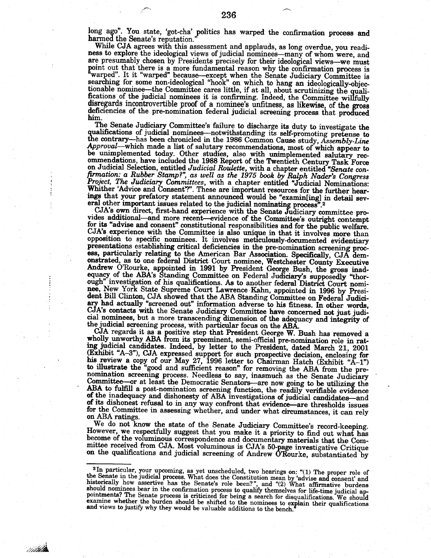long ago". You state, 'got-cha' politics has warped the confirmation process and harmed the Senate's reputation.

While CJA agrees with this assessment and applauds, as long overdue, you readiness to explore the ideological views of judicial nominees—many of whom were, and are presumably chosen by Presidents precisely for their ideological views--we must point out that there is a more fundamental reason why the confirmation process is<br>"warped". It it "warped" because—except when the Senate Judiciary Committee is<br>searching for some non-ideological "hook" on which to hang an tionable nominee—the Committee cares little, if at all, about scrutinizing the qualifications of the judicial nominees it is confirming. Indeed, the Committee willfully disregards incontrovertible proof of a nominee's unfitness, as likewise, of the gross deficiencies of the pre-nomination federal judicial screening process that produced him.

The Senate Judiciary Committee's failure to discharge its duty to investigate the qualifications of judicial nominees-notwithstanding its self-promoting pretense to the contrary-has been chronicled in the 1986 Common Cause study, Assembly-Line Approval—which made a list of salutary recommendations, most of which appear to be unimplemented today. Other studies, also with unimplemented salutary recommendations, have included the 1988 Report of the Twentieth Century Task Force ommentations, nave included the 1500 Meptre of the Twenteent Centery 1695 Force<br>on Judicial Selection, entitled Judicial Roulette, with a chapter entitled "Senate con-<br>firmation: a Rubber Stamp?", as well as the 1975 book eral other important issues related to the judicial nominating process<sup>5</sup>.2

CJA's own direct, first-hand experience with the Senate Judiciary committee provides additional—and more recent—evidence of the Committee's outright contempt for its "advise and consent" constitutional responsibilities and for the public welfare. CJA's experience with the Committee is also unique in that it involves more than opposition to specific nominees. It involves meticulously-documented evidentiary presentations establishing critical deficiencies in the pre-nomination screening process, particularly relating to the American Bar Association. Specifically, CJA demonstrated, as to one federal District Court nominee, Westchester County Executive<br>Andrew O'Rourke, appointed in 1991 by President George Bush, the gross inad-<br>equacy of the ABA's Standing Committee on Federal Judiciary's s nee, New York State Supreme Court Lawrence Kahn, appointed in 1996 by President Bill Clinton, CJA showed that the ABA Standing Committee on Federal Judiciary had actually "screened out" information adverse to his fitness. CJA's contacts with the Senate Judiciary Committee have concerned not just judicial nominees, but a more transcending dimension of the adequacy and integrity of the judicial screening process, with particular focus on the ABA.

CJA regards it as a positive step that President George W. Bush has removed a wholly unworthy ABA from its preeminent, semi-official pre-nomination role in rating judicial candidates. Indeed, by letter to the President, da (Exhibit "A-3"), CJA expressed support for such prospective decision, enclosing for<br>his review a copy of our May 27, 1996 letter to Chairman Hatch (Exhibit "A-1")<br>to illustrate the "good and sufficient reason" for removing nomination screening process. Needless to say, inasmuch as the Senate Judiciary<br>Committee—or at least the Democratic Senators—are now going to be utilizing the<br>ABA to fulfill a post-nomination screening function, the readi of the inadequacy and dishonesty of ABA investigations of judicial candidates-and of its dishonest refusal to in any way confront that evidence—are thresholds issues for the Committee in assessing whether, and under what circumstances, it can rely on ABA ratings.

We do not know the state of the Senate Judiciary Committee's record-keeping. However, we respectfully suggest that you make it a priority to find out what has become of the voluminous correspondence and documentary materials that the Committee received from CJA. Most voluminous is CJA's 50-page investigative Critique<br>on the qualifications and judicial screening of Andrew O'Rourke, substantiated by

14524

<sup>&</sup>lt;sup>2</sup>In particular, your upcoming, as yet unscheduled, two hearings on: "(1) The proper role of<br>the Senate in the judicial process. What does the Constitution mean by 'advise and consent' and<br>historically how assertive has pointments? The Senate process is criticized for being a search for disqualifications. We should<br>examine whether the burden should be shifted to the nominees to explain their qualifications and views to justify why they would be valuable additions to the bench.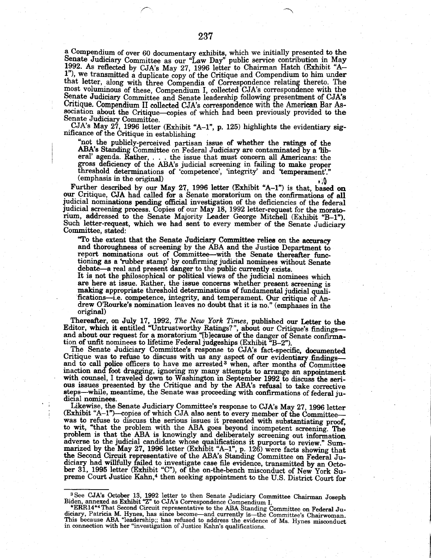a Compendium of over 60 documentary exhibits, which we initially presented to the Senate Judiciary Committee as our "Law Day" public service contribution in May 1992. As reflected by CJA's May 27, 1996 letter to Chairman Hatch (Exhibit "A-1"), we transmitted a duplicate copy of the Critique and Compendium to him under that letter, along with three Compendia of Correspondence relating thereto. The most voluminous of these, Compendium I, collected CJA's correspondence with the Senate Judiciary Committee and Senate leadership following presentment of CJA's Critique. Compendium II collected CJA's correspondence with the American Bar Association about the Critique-copies of which had been previously provided to the Senate Judiciary Committee.<br>CJA's May 27, 1996 letter (Exhibit "A-1", p. 125) highlights the evidentiary sig-

nificance of the Critique in establishing

"not the publicly-perceived partisan issue of whether the ratings of the ABA's Standing Committee on Federal Judiciary are contaminated by a 'liberal' agenda. Rather,  $\dots$  the issue that must concern all Americans: the gross deficiency of the ABA's judicial screening in failing to make proper threshold determinations of 'competence', 'integrity' and 'temperament'." (emphasis in the original)

Further described by our May 27, 1996 letter (Exhibit "A-1") is that, based on our Critique, CJA had called for a Senate moratorium on the confirmations of all judicial nominations pending official investigation of the deficiencies of the federal judicial screening process. Copies of our May 18, 1992 letter-request for the moratorium, addressed to the Senate Majority Leader George Mitchell (Exhibit "B-1"). Such letter-request, which we had sent to every member of the Senate Judiciary Committee, stated:

"To the extent that the Senate Judiciary Committee relies on the accuracy and thoroughness of screening by the ABA and the Justice Department to report nominations out of Committee-with the Senate thereafter functioning as a 'rubber stamp' by confirming judicial nominees without Senate debate-a real and present danger to the public currently exists.

It is not the philosophical or political views of the judicial nominees which are here at issue. Rather, the issue concerns whether present screening is making appropriate threshold determinations of fundamental judicial qualifications-i.e. competence, integrity, and temperament. Our critique of Andrew O'Rourke's nomination leaves no doubt that it is no." (emphases in the original)

Thereafter, on July 17, 1992, The New York Times, published our Letter to the<br>Editor, which it entitled "Untrustworthy Ratings?", about our Critique's findings—<br>and about our request for a moratorium "[b]ecause of the dang

The Senate Judiciary Committee's response to CJA's fact-specific, documented Critique was to refuse to discuss with us any aspect of our evidentiary findings—<br>and to call police officers to have me arrested<sup>3</sup> when, after months of Committee inaction and foot dragging, ignoring my many attempts to arrange an appointment with counsel, I traveled down to Washington in September 1992 to discuss the serious issues presented by the Critique and by the ABA's refusal to take corrective steps-while, meantime, the Senate was proceeding with confirmations of federal judicial nominees.

Likewise, the Senate Judiciary Committee's response to CJA's May 27, 1996 letter (Exhibit "A-1")-copies of which CJA also sent to every member of the Committeewas to refuse to discuss the serious issues it presented with substantiating proof, to wit, "that the problem with the ABA goes beyond incompetent screening. The problem is that the ABA is knowingly and deliberately screening out information problem is that the ADA is anowmary and denotedaty streaming out intuiting<br>adverse to the judicial candidate whose qualifications it purports to review." Sum-<br>marized by the May 27, 1996 letter (Exhibit "A-1", p. 126) were diciary had willfully failed to investigate case file evidence, transmitted by an October 31, 1995 letter (Exhibit "C"), of the on-the-bench misconduct of New York Supreme Court Justice Kahn,<sup>4</sup> then seeking appointment to the U.S. District Court for

<sup>&</sup>lt;sup>3</sup> See CJA's October 13, 1992 letter to then Senate Judiciary Committee Chairman Joseph Biden, annexed as Exhibit "Z" to CJA's Correspondence Compendium I.

<sup>\*</sup>ERR14\*4 That Second Circuit representative to the ABA Standing Committee on Federal Judiciary, Patricia M. Hynes, has since become—and currently is—the Committee's Chairwoman.<br>This because ABA "leadership;; has refused to address the evidence of Ms. Hynes misconduct in connection with her "investigation of Justice Kahn's qualifications.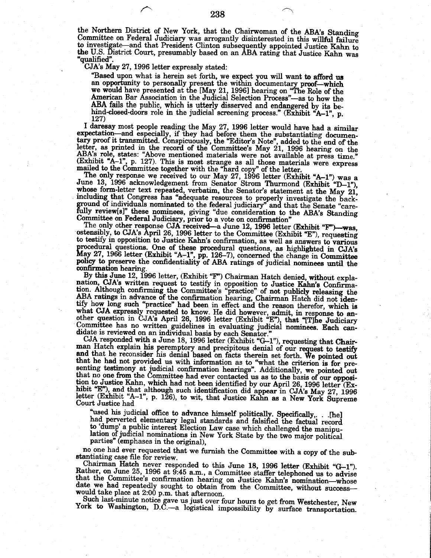the Northern District of New York, that the Chairwoman of the ABA's Standing Committee on Federal Judiciary was arrogantly disinterested in this willful failure to investigate—and that President Clinton subsequently appointed Justice Kahn to the U.S. District Court, presumably based on an ABA rating that Justice Kahn was 'qualified".

CJA's May 27, 1996 letter expressly stated:

"Based upon what is herein set forth, we expect you will want to afford us an opportunity to personally present the within documentary proof—which we would have presented at the [May 21, 1996] hearing on "The Role of the American Bar Association in the Judicial Selection Process"—as to how the ABA fails the public, which is utterly disserved and endangered by its behind-closed-doors role in the judicial screening process." (Exhibit "A-1", p. 127)

I daresay most people reading the May 27, 1996 letter would have had a similar expectation—and especially, if they had before them the substantiating documentary proof it transmitted. Conspicuously, the "Editor's Note", added to the end of the letter, as printed in the record of the Committee's May 2 (Exhibit "A-1", p. 127). This is most strange as all those materials were express<br>mailed to the Committee together with the "hard copy" of the letter.

The only response we received to our May 27, 1996 letter (Exhibit "A-1") was a June 13, 1996 acknowledgement from Senator Strom Thurmond (Exhibit "D-1"), whose form-letter text repeated, verbatim, the Senator's statement at the May 21, including that Congress has "adequate resources to properly investigate the background of individuals nominated to the federal judiciary" an fully review[s]" these nominees, giving "due consideration to the ABA's Standing<br>Committee on Federal Judiciary, prior to a vote on confirmation"

The only other response CJA received-a June 12, 1996 letter (Exhibit "F")-was. ostensibly, to CJA's April 26, 1996 letter to the Committee (Exhibit "E"), requesting to testify in opposition to Justice Kahn's confirmation, as well as answers to various procedural questions. One of these procedural questions, as highlighted in CJA's May 27, 1966 letter (Exhibit "A-1", pp. 126-7), concerned the change in Committee policy to preserve the confidentiality of ABA ratings of judicial nominees until the confirmation hearing.

By this June 12, 1996 letter, (Exhibit "F") Chairman Hatch denied, without explanation. CJA's written request to testify in opposition to Justice Kahn's Confirma-<br>tion. Although confirming the Committee's "practice" of not publicly releasing the<br>ABA ratings in advance of the confirmation hearing, Chai ADA Takings in advance of the communitor nearing, Chairman riatch did not identify how long such "practice" had been in effect and the reason therefor, which is what CJA expressly requested to know. He did however, admit, didate is reviewed on an individual basis by each Senator."

CJA responded with a June 18, 1996 letter (Exhibit "G-1"), requesting that Chairman Hatch explain his peremptory and precipitous denial of our request to testify and that he reconsider his denial based on facts therein set forth. We pointed out that he had not provided us with information as to "what the criterion is for pre-<br>senting testimony at judicial confirmation hearings". Additionally, we pointed out<br>that no one from the Committee had ever contacted us as tion to Justice Kahn, which had not been identified by our April 26, 1996 letter (Exhibit "E"), and that although such identification did appear in CJA's May 27, 1996<br>letter (Exhibit "A-1", p. 126), to wit, that Justice Kahn as a New York Supreme Court Justice had

"used his judicial office to advance himself politically. Specifically, . . [he] had perverted elementary legal standards and falsified the factual record to 'dump' a public interest Election Law case which challenged the manipulation of judicial nominations in New York State by the two major political parties" (emphases in the original),

no one had ever requested that we furnish the Committee with a copy of the substantiating case file for review.

Chairman Hatch never responded to this June 18, 1996 letter (Exhibit "G-1"). Rather, on June 25, 1996 at 9:45 a.m., a Committee staffer telephoned us to advise that the Committee's confirmation hearing on Justice Kahn's nomination-whose date we had repeatedly sought to obtain from the Committee, without successwould take place at 2:00 p.m. that afternoon.

Such last-minute notice gave us just over four hours to get from Westchester, New York to Washington, D.C. a logistical impossibility by surface transportation.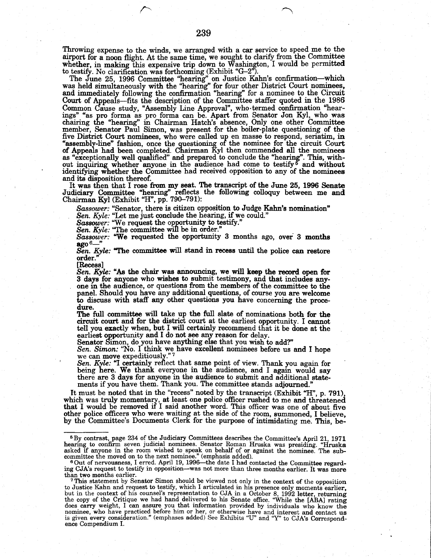Throwing expense to the winds, we arranged with a car service to speed me to the airport for a noon flight. At the same time, we sought to clarify from the Committee whether, in making this expensive trip down to Washington, I would be permitted

to testify. No clarification was forthcoming (Exhibit "G-2").<br>The June 25, 1996 Committee "hearing" on Justice Kahn's confirmation—which<br>was held simultaneously with the "hearing" for four other District Court nominees,<br>an Court of Appeals—fits the description of the Committee staffer quoted in the 1986 Common Cause study, "Assembly Line Approval", who termed confirmation "hearings" "as pro forma as pro forma can be. Apart from Senator Jon Kyl, who was chairing the "hearing" in Chairman Hatch's absence, Only one other Com five District Court nominees, who were called up en masse to respond, seriatim, in<br>"assembly-line" fashion, once the questioning of the nominee for the circuit Court<br>of Appeals had been completed. Chairman Kyl then commend as "exceptionally well qualified" and prepared to conclude the "hearing". This, without inquiring whether anyone in the audience had come to testify <sup>5</sup> and without identifying whether the Committee had received opposition to any of the nominees and its disposition thereof.

It was then that I rose from my seat. The transcript of the June 25, 1996 Senate Judiciary Committee "hearing" reflects the following colloquy between me and Chairman Kyl (Exhibit "H", pp. 790–791):

Sassower: "Senator, there is citizen opposition to Judge Kahn's nomination"<br>Sen. Kyle: "Let me just conclude the hearing, if we could."<br>Sassower: "We request the opportunity to testify."

Sassower: "We requested the opportunity 3 months ago, over 3 months ago  $\frac{S_{\alpha}}{S_{\alpha}}$ .

Sen. Kyle: "The committee will stand in recess until the police can restore order.

[Recess]

Sen. Kyle: "As the chair was announcing, we will keep the record open for 3 days for anyone who wishes to submit testimony, and that includes anyone in the audience, or questions from the members of the committee to the panel. Should you have any additional questions, of course you are welcome to discuss with staff any other questions you have concerning the procedure.

The full committee will take up the full slate of nominations both for the circuit court and for the district court at the earliest opportunity. I cannot tell you exactly when, but I will certainly recommend that it be done at the earliest opportunity and I do not see any reason for delay.

Senator Simon, do you have anything else that you wish to add?"<br>Sen. Simon: "No. I think we have excellent nominees before us and I hope we can move expeditiously."7

Sen. Kyle: "I certainly reflect that same point of view. Thank you again for being here. We thank everyone in the audience, and I again would say there are 3 days for anyone in the audience to submit and additional statements if you have them. Thank you. The committee stands adjourned.

It must be noted that in the "recess" noted by the transcript (Exhibit "H", p. 791), which was truly momentary, at least one police officer rushed to me and threatened<br>that I would be removed if I said another word. This officer was one of about five other police officers who were waiting at the side of the room, summoned, I believe, by the Committee's Documents Clerk for the purpose of intimidating me. This, be-

<sup>&</sup>lt;sup>5</sup> By contrast, page 234 of the Judiciary Committees describes the Committee's April 21, 1971 hearing to confirm seven judicial nominees. Senator Roman Hruska was presiding. "Hruska asked if anyone in the room wished to speak on behalf of or against the nominee. The sub-<br>committee the moved on to the next nominee." (emphasis added).

<sup>6</sup> Out of nervousness, I erred. April 19, 1996—the date I had contacted the Committee regarding CJA's request to testify in opposition-was not more than three months earlier. It was more than two months earlier.

This statement by Senator Simon should be viewed not only in the context of the opposition to Justice Kahn and request to testify, which I articulated in his presence only moments earlier,<br>but in the context of his counsel's representation to CJA in a October 8, 1992 letter, returning<br>the copy of the Critique we nominee, who have practiced before him or her, or otherwise have and interest and contact us<br>is given every consideration." (emphases added) See Exhibits "U" and "Y" to CJA's Correspondence Compendium I.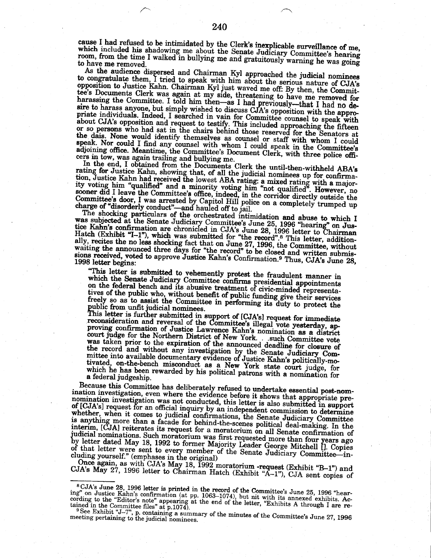cause I had refused to be intimidated by the Clerk's inexplicable surveillance of me, which included his shadowing me about the Senate Judiciary Committee's hearing room, from the time I walked in bullying me and gratuitously warning he was going to have me removed.

As the audience dispersed and Chairman Kyl approached the judicial nominees to congratulate them, I tried to speak with him about the serious nature of CJA's opposition to Justice Kahn. Chairman Kyl just waved me off: By then, the Committee's Documents Clerk was again at my side, threatening to have me removed for harassing the Committee. I told him then-as I had previously-that I had no desire to harass anyone, but simply wished to discuss CJA's opposition with the appropriate individuals. Indeed, I searched in vain for Committee counsel to speak with about CJA's opposition and request to testify. This included approaching the fifteen or so persons who had sat in the chairs behind those reserved for the Senators at the dais. None would identify themselves as counsel or staff with whom I could speak. Nor could I find any counsel with whom I could speak in the Committee's adjoining office. Meantime, the Committee's Document Clerk, with three police officers in tow, was again trailing and bullying me.

In the end, I obtained from the Documents Clerk the until-then-withheld ABA's rating for Justice Kahn, showing that, of all the judicial nominees up for confirmation, Justice Kahn had received the lowest ABA rating: a mixed rating with a majority voting him "qualified" and a minority voting him "not qualified". However, no sooner did I leave the Committee's office, indeed, in the corridor directly outside the Committee's door, I was arrested by Capitol Hill police on a completely trumped up charge of "disorderly conduct"-and hauled off to jail.

The shocking particulars of the orchestrated intimidation and abuse to which I was subjected at the Senate Judiciary Committee's June 25, 1996 "hearing" on Justice Kahn's confirmation are chronicled in CJA's June 28, 1996 letter to Chairman Hatch (Exhibit "I-1"), which was submitted for "the record". ally, recites the no less shocking fact that on June 27, 1996, the Committee, without waiting the announced three days for "the record" to be closed and written submissions received, voted to approve Justice Kahn's Confirmation.<sup>9</sup> Thus, CJA's June 28, 1998 letter begins:

"This letter is submitted to vehemently protest the fraudulent manner in which the Senate Judiciary Committee confirms presidential appointments on the federal bench and its abusive treatment of civic-minded representatives of the public who, without benefit of public funding give their services freely so as to assist the Committee in performing its duty to protect the

public from unfit judicial nominees.<br>This letter is further submitted in support of [CJA's] request for immediate<br>reconsideration and reversal of the Committee's illegal vote yesterday, approving confirmation of Justice Lawrence Kahn's nomination as a district court judge for the Northern District of New York. such Committee vote<br>was taken prior to the expiration of the announced deadline for closure of the record and without any investigation by the Senate Judiciary Committee into available documentary evidence of Justice Kahn's politically-motivated, on-the-bench misconduct as a New York state court judge, for which he has been rewarded by his political patrons with a nomination for a federal judgeship.

Because this Committee has deliberately refused to undertake essential post-nomination investigation, even where the evidence before it shows that appropriate prenomination investigation was not conducted, this letter is also submitted in support of [CJA's] request for an official inquiry by an independent commission to determine whether, when it comes to judicial confirmations, the Senate Judiciary Committee is anything more than a facade for behind-the-scenes political deal-making. In the interim, [CJA] reiterates its request for a moratorium on all Senate confirmation of judicial nominations. Such moratorium was first requested more than four years ago<br>by letter dated May 18, 1992 to former Majority Leader George Mitchell []. Copies<br>of that letter were sent to every member of the Senate Ju cluding yourself." (emphases in the original)

Once again, as with CJA's May 18, 1992 moratorium -request (Exhibit "B-1") and<br>CJA's May 27, 1996 letter to Chairman Hatch (Exhibit "A-1"), CJA sent copies of

<sup>&</sup>lt;sup>8</sup>CJA's June 28, 1996 letter is printed in the record of the Committee's June 25, 1996 "hearbons oute 20, 1550 letter is primed in the record of the Committee's oute 20, 1550 letter<br>ing" on Justice Kahn's confirmation (at pp. 1063–1074), but nit with its annexed exhibits. Ac-<br>cording to the "Editor's note" appea

<sup>9</sup> See Exhibit "J-7", p. containing a summary of the minutes of the Committee's June 27, 1996 meeting pertaining to the judicial nominees.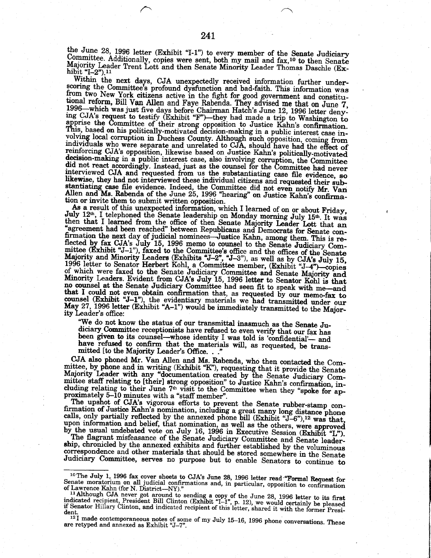the June 28, 1996 letter (Exhibit "I-1") to every member of the Senate Judiciary Committee. Additionally, copies were sent, both my mail and fax,<sup>10</sup> to then Senate Majority Leader Trent Lott and then Senate Minority Leader Thomas Daschle (Exhibit "I-2").<sup>11</sup>

Within the next days, CJA unexpectedly received information further underscoring the Committee's profound dysfunction and bad-faith. This information was from two New York citizens active in the fight for good government and constitu-<br>tional reform, Bill Van Allen and Faye Rabenda. They advised me that on June 7, 1996—which was just five days before Chairman Hatch's June 12, 1996 letter denying CJA's request to testify (Exhibit "F")—they had made a trip to Washington to apprise the Committee of their strong opposition to Justice Kahn's confirmation. This, based on his politically-motivated decision-making in a public interest case involving local corruption in Duchess County. Although such opposition, coming from<br>individuals who were separate and unrelated to CJA, should have had the effect of reinforcing CJA's opposition, likewise based on Justice Kahn's politically-motivated decision-making in a public interest case, also involving corruption, the Committee did not react accordingly. Instead, just as the counsel for the Committee had never interviewed CJA and requested from us the substantiating case file evidence, so likewise, they had not interviewed these individual citize stantiating case file evidence. Indeed, the Committee did not even notify Mr. Van Allen and Ms. Rabenda of the June 25, 1996 "hearing" on Justice Kahn's confirmation or invite them to submit written opposition.

don or invite them to submit written opposition.<br>As a result of this unexpected information, which I learned of on or about Friday,<br>July  $12^{\text{th}}$ , I telephoned the Senate leadership on Monday morning July  $15^{\text{th}}$ . It firmation the next day of judicial nominees—Justice Kahn, among them. This is refirmation the next day of judicial nominees—Justice Kahn, among them. This is re-<br>flected by fax CJA's July 15, 1996 memo to counsel to the Senate Judiciary Com-<br>mittee (Exhibit "J-1"), faxed to the Committee's office and ity Leader's office:

"We do not know the status of our transmittal inasmuch as the Senate Judiciary Committee receptionists have refused to even verify that our fax has been given to its counsel-whose identity I was told is 'confidential'- and have refused to confirm that the materials will, as requested, be transmitted [to the Majority Leader's Office. . .

CJA also phoned Mr. Van Allen and Ms. Rabenda, who then contacted the Committee, by phone and in writing (Exhibit "K"), requesting that it provide the Senate Majority Leader with any "documentation created by the Senate Judiciary Committee staff relating to [their] strong opposition" to Justice Kahn's confirmation, including relating to their June 7<sup>th</sup> visit to the Committee when they "spoke for approximately 5-10 minutes with a "staff member".

The upshot of CJA's vigorous efforts to prevent the Senate rubber-stamp con-The upshot of Justice Kahn's nomination, including a great many long distance phone<br>calls, only partially reflected by the annexed phone bill (Exhibit "J-6"),<sup>12</sup> was that,<br>upon information and belief, that nomination, as

The flagrant misfeasance of the Senate Judiciary Committee and Senate leadership, chronicled by the annexed exhibits and further established by the voluminous correspondence and other materials that should be stored somewhere in the Senate Judiciary Committee, serves no purpose but to enable Senators to continue to

<sup>&</sup>lt;sup>10</sup>The July 1, 1996 fax cover sheets to CJA's June 28, 1996 letter read "Formal Request for Senate moratorium on all judicial confirmations and, in particular, opposition to confirmation of Lawrence Kahn (for N. District---NY)."

<sup>&</sup>lt;sup>11</sup> Although CJA never got around to sending a copy of the June 28, 1996 letter to its first<br><sup>11</sup> Although CJA never got around to sending a copy of the June 28, 1996 letter to its first<br>indicated recipient, President Bil dent.

<sup>&</sup>lt;sup>12</sup>I made contemporaneous notes of some of my July 15-16, 1996 phone conversations. These are retyped and annexed as Exhibit "J-7".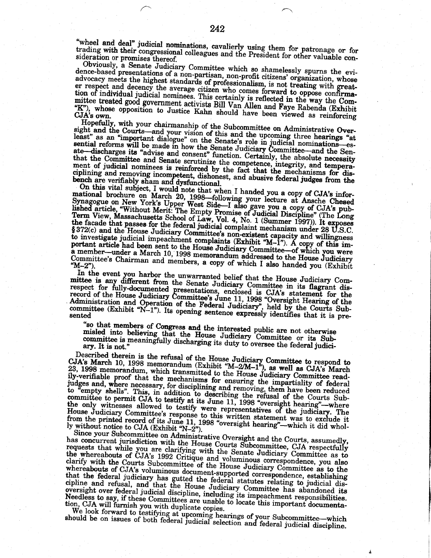"wheel and deal" judicial nominations, cavalierly using them for patronage or for trading with their congressional colleagues and the President for other valuable consideration or promises thereof.

Obviously, a Senate Judiciary Committee which so shamelessly spurns the evidence-based presentations of a non-partisan, non-profit citizens' organization, whose advocacy meets the highest standards of professionalism, is not treating with greater respect and decency the average citizen who comes forward to oppose confirma-<br>tion of individual judicial nominees. This certainly is reflected in the way the Committee treated good government activists Bill Van Allen and Faye Rabenda (Exhibit "K"), whose opposition to Justice Kahn should have been viewed as reinforcing CJA's own.

Hopefully, with your chairmanship of the Subcommittee on Administrative Oversight and the Courts-and your vision of this and the upcoming three hearings "at least" as an "important dialogue" on the Senate's role in judicial nominations-esreast as an important mangue on the Senate Judiciary Committee—and the Senate—discharges its "advise and consent" function. Certainly, the absolute necessary that the Committee and Senate scrutinize the competence, integrity, and temperament of judicial nominees is reinforced by the fact that the mechanisms for disciplining and removing incompetent, dishonest, and abusive federal judges from the bench are verifiably sham and dysfunctional.

On this vital subject, I would note that when I handed you a copy of CJA's infor-Un this vital subject, 1 would note that when 1 handed you a copy of CJA's informational brochure on March 20, 1998—following your lecture at Ansche Chesed Synagogue on New York's Upper West Side—I also gave you a copy of §372(c) and the House Judiciary Committee's non-existent capacity and willingness<br>to investigate judicial impeachment complaints (Exhibit "M-1"). A copy of this important article had been sent to the House Judiciary Committee-of which you were a member—under a March 10, 1998 memorandum addressed to the House Judiciary Committee's Chairman and members, a copy of which I also handed you (Exhibit

In the event you harbor the unwarranted belief that the House Judiciary Committee is any different from the Senate Judiciary Committee in its flagrant disrespect for fully-documented presentations, enclosed is CJA's statement for the record of the House Judiciary Committee's June 11, 1998 "Oversight Hearing of the Administration and Operation of the Federal Judiciary", held by the Courts Sub-<br>committee (Exhibit "N-1"). Its opening sentence expressly identifies that it is pre-

"so that members of Congress and the interested public are not otherwise misled into believing that the House Judiciary Committee or its Subcommittee is meaningfully discharging its duty to oversee the federal judici-

Described therein is the refusal of the House Judiciary Committee to respond to CJA's March 10, 1998 memorandum (Exhibit "M-2/M-1"), as well as CJA's March 23, 1998 memorandum, which transmitted to the House Judiciary Committee readily-verifiable proof that the mechanisms for ensuring the impartiality of federal judges and, where necessary, for disciplining and removing, them have been reduced Judges and, where necessary, or asserting and removing, mean that sometime to "empty shells". This, in addition to describing the refusal of the Courts Sub-<br>committee to permit CJA to testify at its June 11, 1998 "oversigh the only witnesses allowed to testify were representatives of the judiciary. The House Judiciary Committee's response to this written statement was to exclude it from the printed record of its June 11, 1998 "oversight hearing"—which it did whol-<br>ly without notice to CJA (Exhibit "N-2").

Since your Subcommittee on Administrative Oversight and the Courts, assumedly, has concurrent jurisdiction with the House Courts Subcommittee, CJA respectfully requests that while you are clarifying with the Senate Judiciary Committee as to the whereabouts of CJA's 1992 Critique and voluminous correspondence, you also clarify with the Courts Subcommittee of the House Judiciary Committee as to the whereabouts of CJA's voluminous document-supported correspondence, establishing that the federal judiciary has gutted the federal statutes relating to judicial discipline and refusal, and that the House Judiciary Committee has abandoned its order and the communities of the communities. Needless to say, if these Committees are unable to locate this important documentation, CJA will furnish you with duplicate copies.

We look forward to testifying at upcoming hearings of your Subcommittee—which should be on issues of both federal judicial selection and federal judicial discipline.